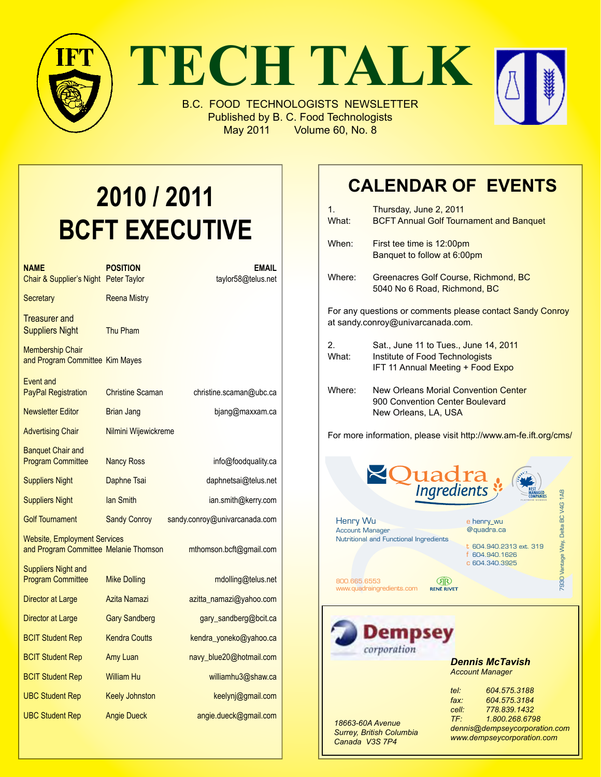

# **2010 / 2011 BCFT EXECUTIVE**

| <b>NAME</b><br>Chair & Supplier's Night Peter Taylor                         | <b>POSITION</b>         | EMAIL<br>taylor58@telus.net   |
|------------------------------------------------------------------------------|-------------------------|-------------------------------|
| <b>Secretary</b>                                                             | <b>Reena Mistry</b>     |                               |
| <b>Treasurer</b> and<br><b>Suppliers Night</b>                               | Thu Pham                |                               |
| <b>Membership Chair</b><br>and Program Committee Kim Mayes                   |                         |                               |
| Event and<br><b>PayPal Registration</b>                                      | <b>Christine Scaman</b> | christine.scaman@ubc.ca       |
| <b>Newsletter Editor</b>                                                     | <b>Brian Jang</b>       | bjang@maxxam.ca               |
| <b>Advertising Chair</b>                                                     | Nilmini Wijewickreme    |                               |
| <b>Banguet Chair and</b><br><b>Program Committee</b>                         | <b>Nancy Ross</b>       | info@foodquality.ca           |
| <b>Suppliers Night</b>                                                       | Daphne Tsai             | daphnetsai@telus.net          |
| <b>Suppliers Night</b>                                                       | lan Smith               | ian.smith@kerry.com           |
| <b>Golf Tournament</b>                                                       | <b>Sandy Conroy</b>     | sandy.conroy@univarcanada.com |
| <b>Website, Employment Services</b><br>and Program Committee Melanie Thomson |                         | mthomson.bcft@gmail.com       |
| <b>Suppliers Night and</b><br><b>Program Committee</b>                       | <b>Mike Dolling</b>     | mdolling@telus.net            |
| Director at Large                                                            | Azita Namazi            | azitta_namazi@yahoo.com       |
| Director at Large                                                            | <b>Gary Sandberg</b>    | gary_sandberg@bcit.ca         |
| <b>BCIT Student Rep</b>                                                      | <b>Kendra Coutts</b>    | kendra_yoneko@yahoo.ca        |
| <b>BCIT Student Rep</b>                                                      | Amy Luan                | navy_blue20@hotmail.com       |
| <b>BCIT Student Rep</b>                                                      | <b>William Hu</b>       | williamhu3@shaw.ca            |
| <b>UBC Student Rep</b>                                                       | <b>Keely Johnston</b>   | keelynj@gmail.com             |
| <b>UBC Student Rep</b>                                                       | <b>Angie Dueck</b>      | angie.dueck@gmail.com         |

## **Calendar Of Events**

| 1.<br>What:                                                                                                                  | Thursday, June 2, 2011<br><b>BCFT Annual Golf Tournament and Banquet</b>                        |                                                                                         |                                    |  |  |
|------------------------------------------------------------------------------------------------------------------------------|-------------------------------------------------------------------------------------------------|-----------------------------------------------------------------------------------------|------------------------------------|--|--|
| When:                                                                                                                        | First tee time is 12:00pm<br>Banquet to follow at 6:00pm                                        |                                                                                         |                                    |  |  |
| Where:                                                                                                                       | Greenacres Golf Course, Richmond, BC<br>5040 No 6 Road, Richmond, BC                            |                                                                                         |                                    |  |  |
| For any questions or comments please contact Sandy Conroy<br>at sandy.conroy@univarcanada.com.                               |                                                                                                 |                                                                                         |                                    |  |  |
| 2.<br>Sat., June 11 to Tues., June 14, 2011<br>What:<br>Institute of Food Technologists<br>IFT 11 Annual Meeting + Food Expo |                                                                                                 |                                                                                         |                                    |  |  |
| Where:                                                                                                                       | New Orleans Morial Convention Center<br>900 Convention Center Boulevard<br>New Orleans, LA, USA |                                                                                         |                                    |  |  |
| For more information, please visit http://www.am-fe.ift.org/cms/                                                             |                                                                                                 |                                                                                         |                                    |  |  |
|                                                                                                                              | <b>Quadra</b><br>Ingredients                                                                    |                                                                                         |                                    |  |  |
| Henry Wu<br><b>Account Manager</b>                                                                                           | Nutritional and Functional Ingredients                                                          | e henry_wu<br>@quadra.ca<br>t 604.940.2313 ext. 319<br>f 604.940.1626<br>c 604.340.3925 | 7930 Vantage Way, Delta BC V4G 1A8 |  |  |
| 800.665.6553                                                                                                                 | (ЯR)<br>www.quadraingredients.com<br><b>RENË RIVET</b>                                          |                                                                                         |                                    |  |  |
|                                                                                                                              | mps<br>corporation                                                                              |                                                                                         |                                    |  |  |

*Dennis McTavish Account Manager*

| 18663-60A Avenue<br>Surrey, British Columbia<br>Canada V3S 7P4 | $te$ $t$ :<br>$\mathit{fax}$ :<br>cell:<br>$TF^+$ | 604.575.3188<br>604.575.3184<br>778.839.1432<br>1.800.268.6798<br>dennis@dempseycorporation.com<br>www.dempseycorporation.com |
|----------------------------------------------------------------|---------------------------------------------------|-------------------------------------------------------------------------------------------------------------------------------|
|                                                                |                                                   |                                                                                                                               |
|                                                                |                                                   |                                                                                                                               |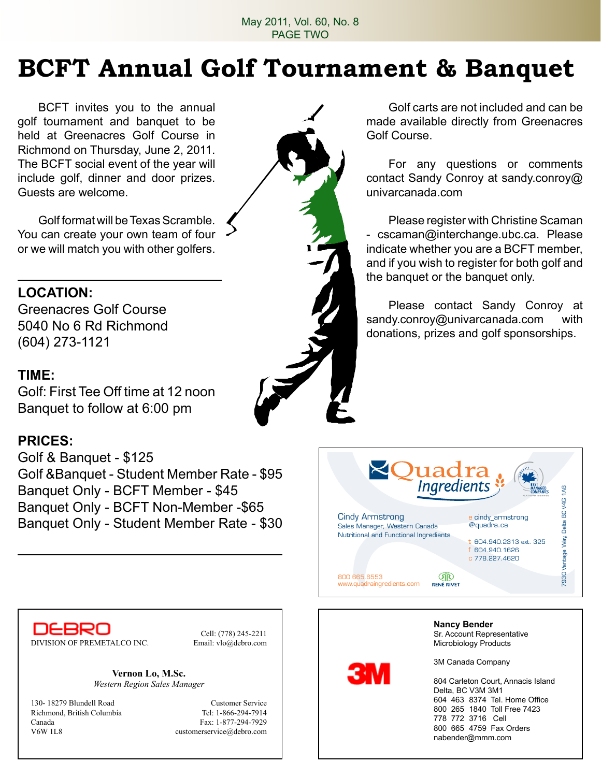# **BCFT Annual Golf Tournament & Banquet**

BCFT invites you to the annual golf tournament and banquet to be held at Greenacres Golf Course in Richmond on Thursday, June 2, 2011. The BCFT social event of the year will include golf, dinner and door prizes. Guests are welcome.

Golf format will be Texas Scramble. You can create your own team of four or we will match you with other golfers.

## **Location:**

Greenacres Golf Course 5040 No 6 Rd Richmond (604) 273-1121

#### **Time:**

Golf: First Tee Off time at 12 noon Banquet to follow at 6:00 pm

### **Prices:**

Golf & Banquet - \$125 Golf &Banquet - Student Member Rate - \$95 Banquet Only - BCFT Member - \$45 Banquet Only - BCFT Non-Member -\$65 Banquet Only - Student Member Rate - \$30



**Nancy Bender**

Sr. Account Representative Microbiology Products

nabender@mmm.com



Cell: (778) 245-2211

**Vernon Lo, M.Sc.** *Western Region Sales Manager*

130- 18279 Blundell Road Customer Service Richmond, British Columbia Tel: 1-866-294-7914 Canada Fax: 1-877-294-7929 V6W 1L8 customerservice@debro.com

Golf carts are not included and can be made available directly from Greenacres Golf Course.

For any questions or comments contact Sandy Conroy at sandy.conroy@ univarcanada.com

Please register with Christine Scaman - cscaman@interchange.ubc.ca. Please indicate whether you are a BCFT member, and if you wish to register for both golf and the banquet or the banquet only.

Please contact Sandy Conroy at sandy.conroy@univarcanada.com with donations, prizes and golf sponsorships.



3M Canada Company 804 Carleton Court, Annacis Island Delta, BC V3M 3M1 604 463 8374 Tel. Home Office 800 265 1840 Toll Free 7423 778 772 3716 Cell 800 665 4759 Fax Orders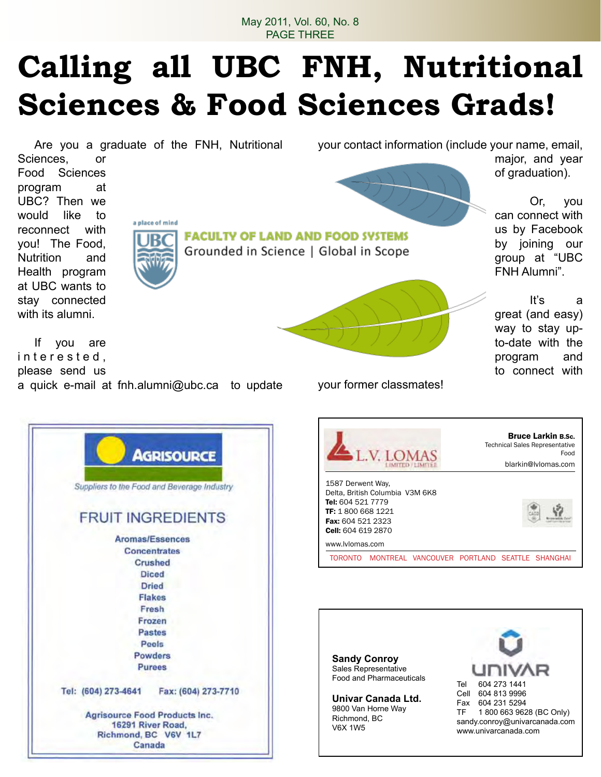# **Calling all UBC FNH, Nutritional Sciences & Food Sciences Grads!**

Are you a graduate of the FNH, Nutritional

your contact information (include your name, email,

Sciences, or Food Sciences program at UBC? Then we would like to reconnect with you! The Food, Nutrition and Health program at UBC wants to stay connected with its alumni.



**FACULTY OF LAND AND FOOD SYSTEMS** Grounded in Science | Global in Scope



major, and year of graduation).

can connect with us by Facebook by joining our group at "UBC FNH Alumni".

Or, you

It's a

great (and easy) way to stay upto-date with the program and to connect with

If you are interested, please send us a quick e-mail at fnh.alumni@ubc.ca to update

> 16291 River Road. Richmond, BC V6V 1L7 Canada

your former classmates!



Bruce Larkin B.Sc. Technical Sales Representative Food **TOMAS** blarkin@lvlomas.com 1587 Derwent Way, Delta, British Columbia V3M 6K8 Tel: 604 521 7779 TF: 1 800 668 1221 Fax: 604 521 2323 Cell: 604 619 2870 www.lvlomas.com TORONTO MONTREAL VANCOUVER PORTLAND SEATTLE SHANGHAI

**Sandy Conroy** Sales Representative Food and Pharmaceuticals

**Univar Canada Ltd.** 9800 Van Horne Way Richmond, BC V6X 1W5

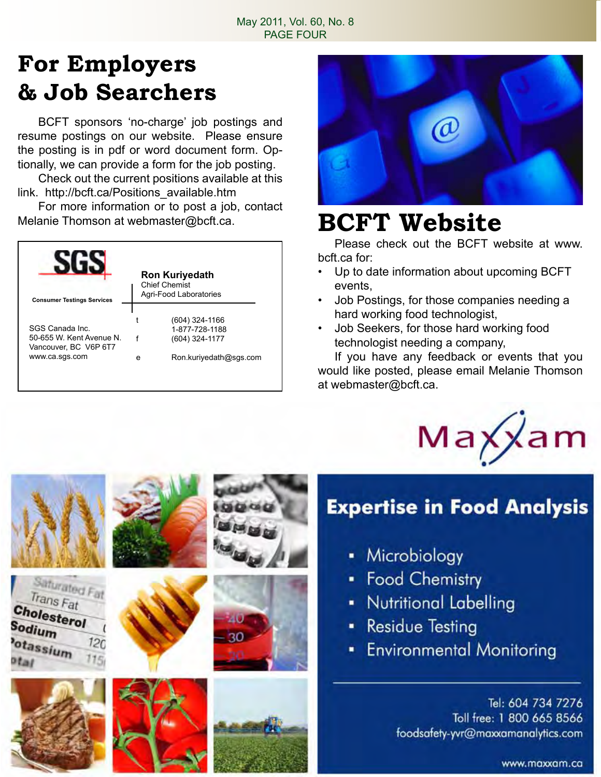## **For Employers & Job Searchers**

BCFT sponsors 'no-charge' job postings and resume postings on our website. Please ensure the posting is in pdf or word document form. Optionally, we can provide a form for the job posting.

Check out the current positions available at this link. http://bcft.ca/Positions\_available.htm

For more information or to post a job, contact Melanie Thomson at webmaster@bcft.ca. **BCFT Website** 

| <b>Consumer Testings Services</b>                                                      | <b>Ron Kuriyedath</b><br><b>Chief Chemist</b><br>Agri-Food Laboratories |                                                                              |
|----------------------------------------------------------------------------------------|-------------------------------------------------------------------------|------------------------------------------------------------------------------|
| SGS Canada Inc.<br>50-655 W. Kent Avenue N.<br>Vancouver, BC V6P 6T7<br>www.ca.sgs.com | e                                                                       | (604) 324-1166<br>1-877-728-1188<br>(604) 324-1177<br>Ron.kuriyedath@sqs.com |

Saturated Fat Trans Fat

 $120$ 

Cholesterol

Sodium

otassium



Please check out the BCFT website at www. bcft.ca for:

- Up to date information about upcoming BCFT events,
- Job Postings, for those companies needing a hard working food technologist,
- Job Seekers, for those hard working food technologist needing a company,

If you have any feedback or events that you would like posted, please email Melanie Thomson at webmaster@bcft.ca.



## **Expertise in Food Analysis**

- Microbiology
- Food Chemistry
- Nutritional Labelling
- **Residue Testing**
- **Environmental Monitoring**

Tel: 604 734 7276 Toll free: 1 800 665 8566 foodsafety-yvr@maxxamanalytics.com

www.maxxam.ca